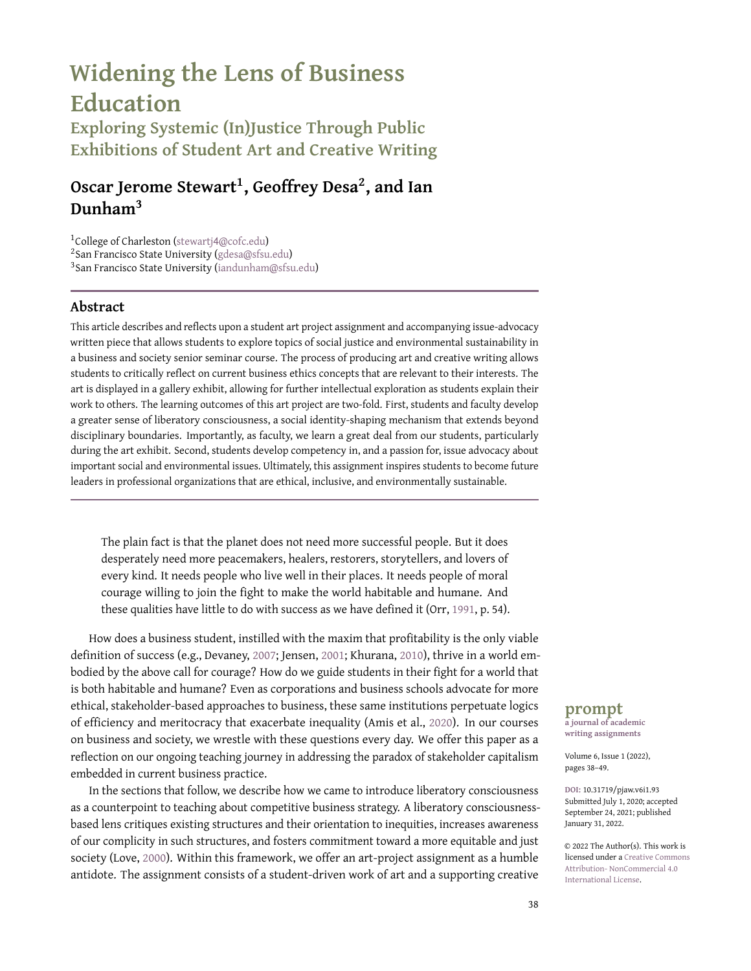# **Widening the Lens of Business Education**

**Exploring Systemic (In)Justice Through Public Exhibitions of Student Art and Creative Writing**

# **Oscar Jerome Stewart<sup>1</sup> , Geoffrey Desa<sup>2</sup> , and Ian Dunham<sup>3</sup>**

<sup>1</sup>College of Charleston (stewartj4[@cofc.edu\)](stewartj4@cofc.edu) 2 San Francisco State University [\(gdesa@sfsu.edu\)](gdesa@sfsu.edu) 3 San Francisco State University [\(iandunham@sfsu.edu\)](iandunham@sfsu.edu)

#### **Abstract**

This article describes and reflects upon a student art project assignment and accompanying issue-advocacy written piece that allows students to explore topics of social justice and environmental sustainability in a business and society senior seminar course. The process of producing art and creative writing allows students to critically reflect on current business ethics concepts that are relevant to their interests. The art is displayed in a gallery exhibit, allowing for further intellectual exploration as students explain their work to others. The learning outcomes of this art project are two-fold. First, students and faculty develop a greater sense of liberatory consciousness, a social identity-shaping mechanism that extends beyond disciplinary boundaries. Importantly, as faculty, we learn a great deal from our students, particularly during the art exhibit. Second, students develop competency in, and a passion for, issue advocacy about important social and environmental issues. Ultimately, this assignment inspires students to become future leaders in professional organizations that are ethical, inclusive, and environmentally sustainable.

The plain fact is that the planet does not need more successful people. But it does desperately need more peacemakers, healers, restorers, storytellers, and lovers of every kind. It needs people who live well in their places. It needs people of moral courage willing to join the fight to make the world habitable and humane. And these qualities have little to do with success as we have defined it (Orr, 1991, p. 54).

How does a business student, instilled with the maxim that profitability is the only viable definition of success (e.g., Devaney, 2007; Jensen, 2001; Khurana, 2010), thrive in a world embodied by the above call for courage? How do we guide students in their fight for a world that is both habitable and humane? Even as corporations and business schools advocate for more ethical, stakeholder-based approaches to business, these same institutions perpetuate logics of efficiency and meritocracy that exacerbate inequality (Amis et al., 2020). In our courses on business and society, we wrestle with these questions every day. We offer this paper as a reflection on our ongoing teaching journey in addressing the paradox of stakeholder capitalism embedded in current business practice.

In the sections that follow, we describe how we came to introduce liberatory consciousness as a counterpoint to teaching about competitive business strategy. A liberatory consciousnessbased lens critiques existing structures and their orientation to inequities, increases awareness of our complicity in such structures, and fosters commitment toward a more equitable and just society (Love, 2000). Within this framework, we offer an art-project assignment as a humble antidote. The assignment consists of a student-driven work of art and a supporting creative

## **prompt**

**a journal of academic writing assignments**

Volume 6, Issue 1 (2022), pages 38–49.

**DOI:** 10.31719/pjaw.v6i1.93 Submitted July 1, 2020; accepted September 24, 2021; published January 31, 2022.

© 2022 The Author(s). This work is licensed under a [Creative Commons](http://creativecommons.org/licenses/by-nc/4.0/) [Attribution- NonCommercial 4.0](http://creativecommons.org/licenses/by-nc/4.0/) [International License.](http://creativecommons.org/licenses/by-nc/4.0/)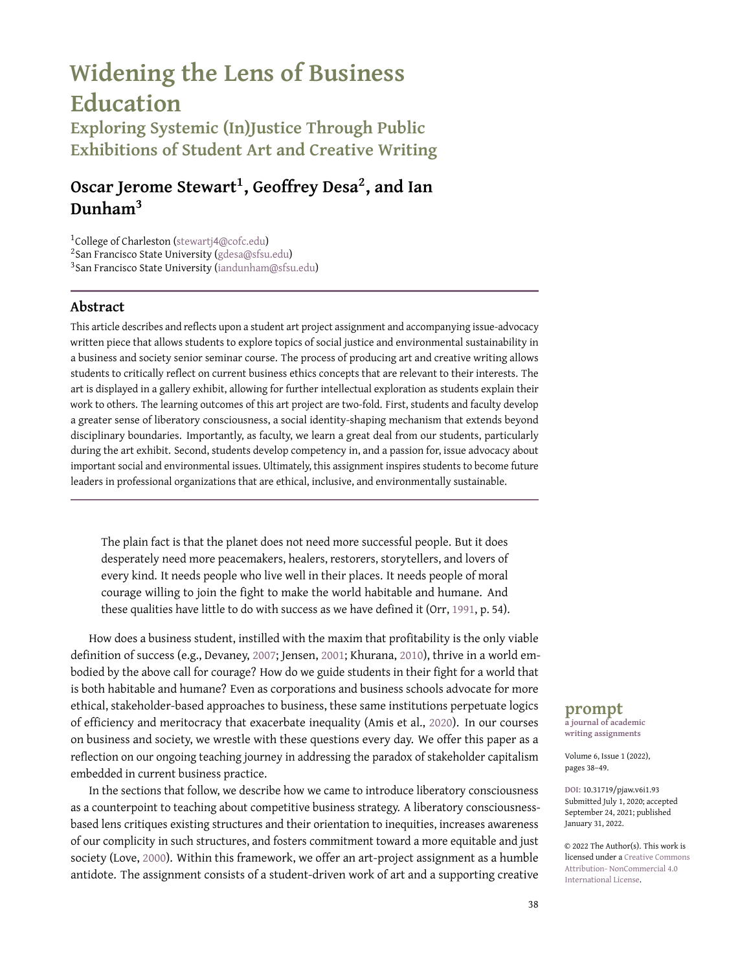written piece. Each student creates a social-justice themed art project that is displayed in an art gallery. In the accompanying written component, students explore the topic(s) as a form of personally meaningful advocacy. Student responses suggest that this assignment challenges their default assumptions about business and prepares them to become engaged, questioning citizens with voice and agency.

In reflecting on our own identities as teachers, we find that these art assignments have helped to re-center and clarify our priorities away from the individually centered worldview so common to corporations and business academia, and instead toward a collectivist, societallyand ecologically-focused curriculum (Verbos et al, 2011). This process helps us as educators to acknowledge the "political, ethical, and philosophical nature" of management education and aims to "bring values into the classroom" (Grey, 2004, p. 180). The students' artwork renews our awareness, appreciation, and motivation to address systemic and structural inequities. The illustrative examples we provide at the end of this manuscript in Figures 2, 3, and 4 highlight the quality and power of such an assignment, which has implications for teaching social justice in the classroom in the contexts of the global pandemic, climate change, and the George Floyd Uprising against racism.

## **A Paradox in Business Education**

Business school curricula emphasize management practices that match industry requirements and are driven by industry requests (e.g., Fotaki & Prasad, 2015; Ghoshal, 2005; Hühn, 2014). While these practice-based requirements may change rapidly in accordance with the rhetoric of an efficient, meritocratic competitive marketplace, the underlying inequalities and injustices remain persistent (Amis et al., 2020). As critical educators, we are heartened by declarations of business leaders who, echoing the words of critical business professors (e.g., Freeman, 1984), champion the importance of stakeholder-based capitalism $^1$  (Business Roundtable, 2019). However, a recent analysis found that those same proponents have done no better than other companies in protecting jobs, labor rights, and workplace safety during the pandemic, maintaining practices that foster racial and gender inequality, and resisting changes for environmental rights (Ward et al., 2020).

This failure highlights the paradox of business education (Bunch, 2020). Even when attention is directed toward stakeholder communities, recommended courses of action are often framed within existing metrics and organizational structures that reinforce systemic discrimination. This crisis of legitimacy is highlighted by the economic devastation following the COVID-19 pandemic and the ongoing movement against racial injustice, both of which have collectively "posed the first test of the lofty words proclaiming a kinder form of capitalism" (Goodman, September 22, 2020). The crisis also exposes the limitations of business school values: efficiency, economic growth, resource-constrained mindsets that drive utilitarian cost-benefit thinking, and a capital-driven marketplace as the preeminent solution to societal ills.

Our reflections suggest that the roots of this paradox lie in a reliance upon a vocational-based curriculum (Reynolds, 1999) that, in taking the above values for granted, emphasizes increases in capital accumulation over the development of a liberatory consciousness. The content and process of education both matter in shaping students' critical thinking about values, their formation of career objectives, and their subsequent career trajectories. While business courses may be well-intended, they are subsumed by a maxim that individual success is the conclusive achievement. The meritocratic and technocratic mindset that success (implicitly economic success) is dependent solely on merit, hard work, and technical competence, ignores inequitable outcomes in society that are byproducts of structural inequality and systemic racism (Bertsou & Caramani, 2020; Chetty et al., 2014). What does that do to a student's developmental process?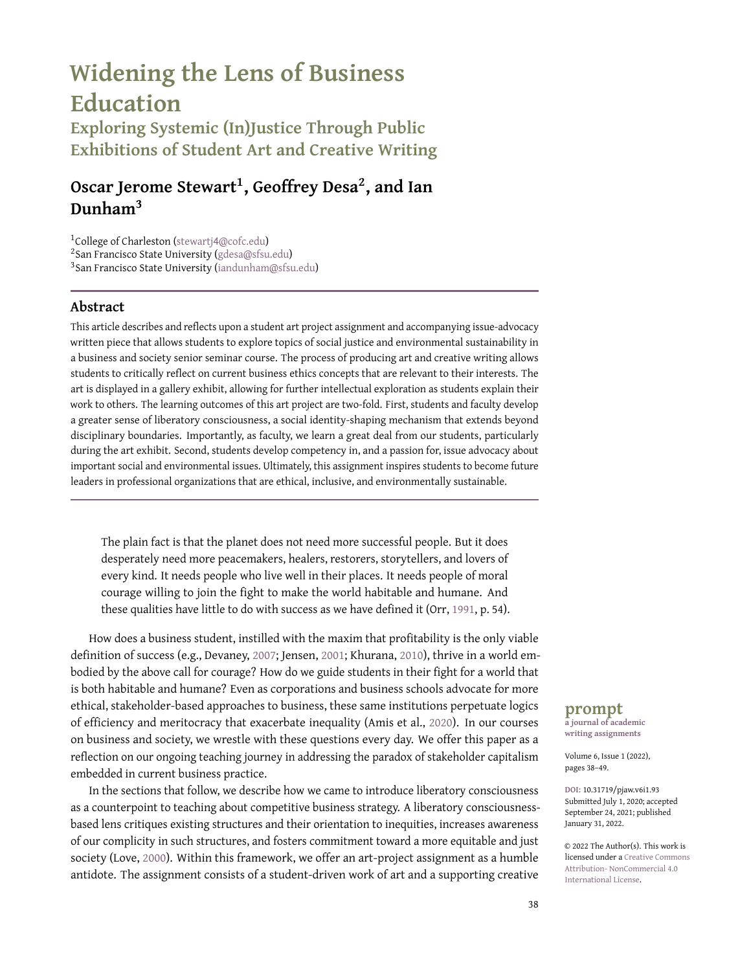If few opportunities for independent critical thought are presented, the student, eventually a business professional, will rely on the default: profit maximization to the detriment of other societal values (Giacalone & Wargo, 2009). More concretely, students who internalize these closely held business assumptions may find themselves actively at odds with the world-changing capabilities needed to respond to stakeholder needs, including awareness of climate change and urgent demands for social justice.

# **Moving Toward a Liberatory Consciousness in a Business School**

To embrace a liberatory consciousness is to first recognize that the status quo is systemically inequitable. The social movements that protest against systemic racism and unequal treatment of essential workers during the global pandemic recognize, for example, that the status quo is incompatible with equity and justice (Love, 2000). As a team of management educators, we understand that structural change is a difficult goal when students (and teachers) are constrained by a doctrine of capital accumulation as the "north star" in all actions. For example, while business students rate "intelligence," "charisma," and "responsibility" high among characteristics of worthy leaders, they consistently rate "empathy" and "service" as the lowest desirable characteristics (Holt et al., 2017). A traditional business curriculum is largely incompatible with the values necessary to bring about social justice.

How, then, can we create curricula in service to a liberatory consciousness, where students have the opportunity "to analyze events related to equity and social justice, and to act in responsible ways to transform society" (Love, 2000, p. 130)? How do we guide students toward critical thinking, embedded and embodied within their own experiences of justice and community? Critical thinking, or "reasonable reflective thinking focused on deciding what to believe or do" (Ennis, 2015, p. 32), is a key citizenship skill that students have historically developed in college (Benjamin et al., 2013). Yet, Steedle and Bradley (2012) find that among seven primary fields of academic study, business students score among the worst on the Collegiate Learning Assessment Problem Task, an assessment that evaluates critical thinking and writing skills.

Business classes that attempt to develop critical thinking and engage students' moral consciousness fall at two ends of a spectrum: business and society courses that focus on stakeholders and social responsibility, and service-learning courses that focus on experiential learning through community engagement (Godfrey et al., 2005). However, business and society courses typically emphasize case studies and readings that rely on frameworks that maintain the primacy of current business practice and the centrality of organizational survival. There remains a disconnect between how students understand class material and their personal relationships to organizations in their communities.

While service-learning classes offer first-person experiences (e.g., Grobman, 2017) that can act as gateways to liberatory consciousness, these courses are hard to scale because of student-faculty ratios, resource priorities, and administrative overhead (Kenworthy-U'Ren, 2008). To bridge the gap between classroom learning and active community engagement of service learning, we move toward a critical pedagogy that bridges the chasm between class and practice. An example of our critical pedagogy is a class art project. Art projects offer students an immersive opportunity to bridge critical concepts (e.g., stakeholder management) and the students' own internalization of collective liberation, human flourishing, and personal and social healing.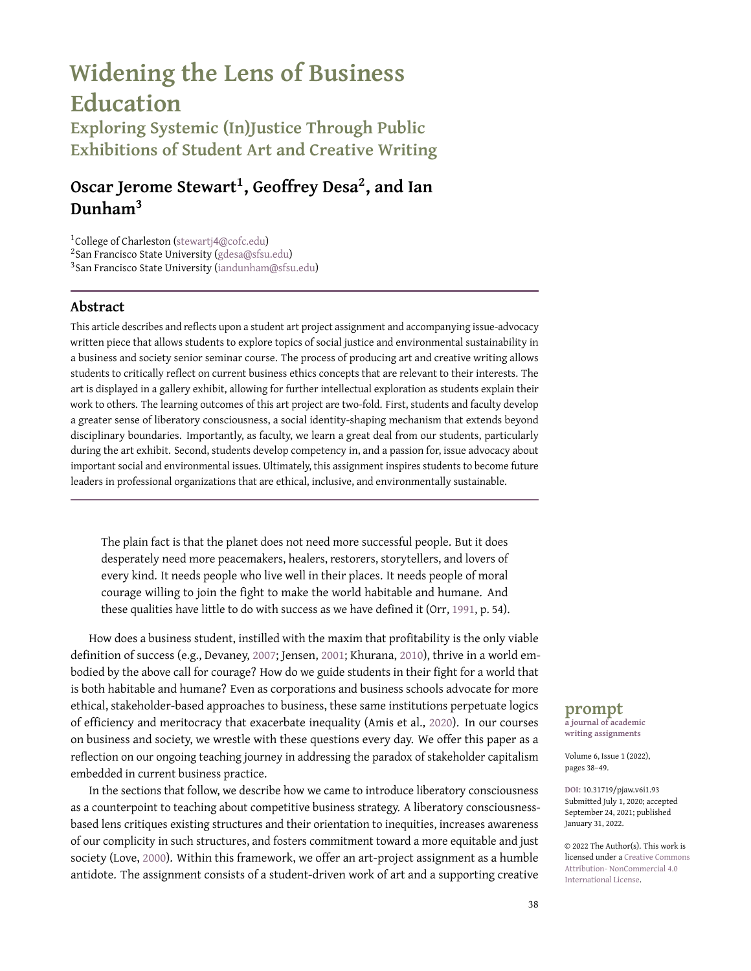

**Figure 1.** A process model to interrogate systemic (in)justice in business and society through making creative works of art and reflective writing.

# **Critical Pedagogy in Service of a Liberatory Consciousness**

What does liberatory consciousness look like in practice? In our experience, it shows up as varied combinations of a fumbling and humbling vulnerability. Instead of structuring courses around values in service to capital accumulation (e.g., utilitarianism and capital growth toward a market society), we grapple with the civic and moral conditions of our curriculum by inviting skepticism into the classroom as well as an earnest co-creation of knowledge with our students (Giroux, 2010; Shor & Freire, 1987). This critical pedagogy acts in direct support of a liberatory consciousness by creating a dialogue between students and instructors to understand the causes of inequity and injustice (Giroux, 2010).

In preparing course readings and assignments, we reflect on whether our course materials center on the values of human flourishing, collective liberation, and societal healing. Human flourishing, for example, is an expansive value that is the basis for student development of moral virtues and reasoning about the wellbeing of humanity (McKenna & Biloslavo, 2011). Collective liberation recognizes that we are all bound together in a beneficent mutuality. It is about the liberation of people from vast inequities toward collective human flourishing (Crass, 2013) rather than individualized success based on socio-economic privilege or fallible notions of merit (Guinier, 2015; Sandel, 2020). To value personal and societal healing is to recognize an organization's duty to restorative and reparative justice, which involves acknowledging and taking responsibility for the harm organizations have caused (Davis et al., 1992). Instances of organizational harm are as recent as the harm that frontline workers have faced during the pandemic, as continuous as the financial industry's exclusionary and discriminatory lending practices, or as long-lasting as the seizure and occupation of indigenous lands for industrial development.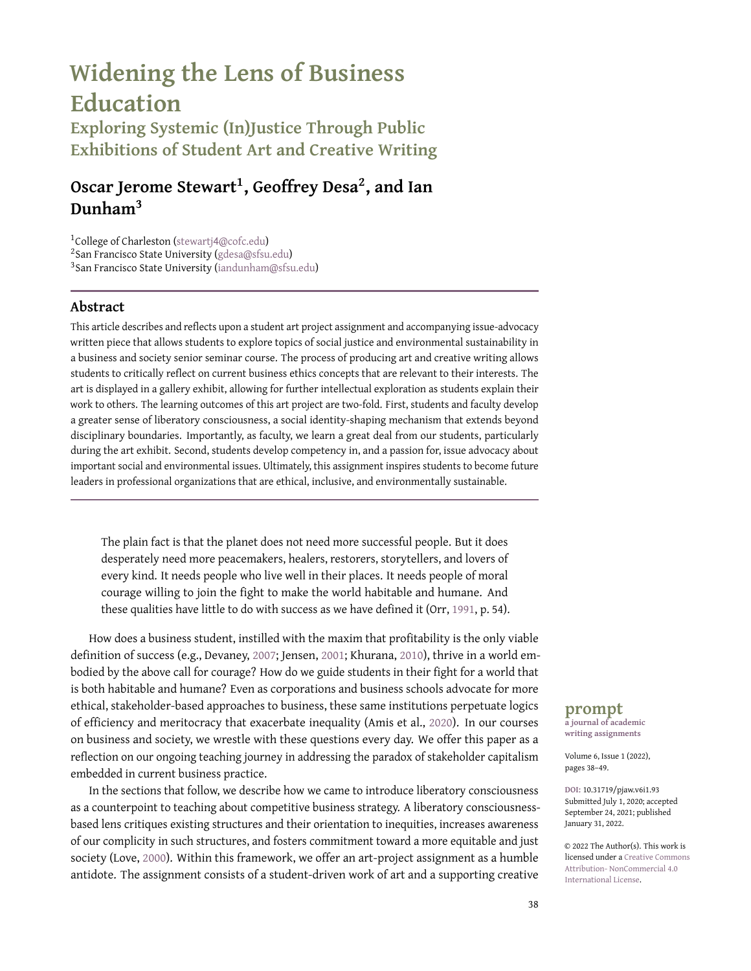# **Widening Your Lens: Advocacy through Art—a mechanism to "do" critical pedagogy**

As an example of critical pedagogy in practice, we developed a student art project, Widening Your Lens: Advocacy through Art. This assignment encourages students to interrogate systemic (in)justice within organizations and to explore paths toward more equitable and just organizational power structures where members become bound together in a beneficent mutuality. The project consists of a work of art and a supporting creative written piece. Generally, each student creates a work of social justice-themed art related to course topics. We display this work in an art gallery. The written component is a chance for students to explore topics as a form of advocacy. (See Figure 1 for each of our unique approaches to the process. $^2)$ 

To our surprise, we found that preparing for the art exhibition was itself counter-hegemonic to our prior training in neoliberal educational norms. Such norms dictate that professors deliver knowledge to students as passive receptacles of knowledge (Ayers et al., 2009). Even when teaching extended beyond passivity and toward discovery, student knowledge was often evaluated within teacher-centered rubrics and frameworks. We offered pedagogical taxonomies (e.g., Bloom) linearly to our students (Doughty, 2006; Starbird & Powers, 2013), such that the acquisition and formation of knowledge became a passive act. Instead, our art assignment requires students to take responsibility for each other's learning. We challenge our students to become experts on the topic of their art so that they can teach others. Learning via an art exhibit is itself a critical pedagogical approach for business students who are otherwise attuned to completing assignments for which grades are easily quantifiable and that are highly individualistic and competitive. Instead, students work collaboratively to develop creative, meaningful projects. Figure 2, for example, became the basis for that class to organically learn about and discuss the construction of gender roles. What is often part of our formal curriculum instead emerged from the students themselves, through collective sensemaking and a liberating mindset.

We found that part two of the project, the written assignment, offers a critical approach to business education in three ways. First, we challenge our students to reject conventional business education goals of objectivity and information sharing to instead embrace values, morality, issue advocacy, and activism (e.g., through such tools as the teaching of ethos, logos, kairos, and pathos techniques). Students respond with impassioned writing about issues they find deeply meaningful. Second, we encourage students to reject typical business-writing formats (reports, case studies, and other informational forms). Students respond by writing creatively, in the form that best conveys their goals and their learning, ranging from investigative journalism to poetry, narratives, speeches, songs, and other forms. Third, we encourage students to explore the acquisition of knowledge not as an accumulation of specific facts but as the deployment of strategies and reflective tools that allow them to acquire, interpret, and make sense of the world. Rather than prescribed expectations of "right" and "wrong," students feel empowered to develop value-based decision-making frames to guide them as professionals (Arce & Gentile, 2015). Students respond by embracing the challenge of becoming experts on topics.

Notably, by taking away the burden of finding "correct" answers to social justice dilemmas, students felt more comfortable expressing vulnerability and uncertainty in their findings. In reflecting on the original paradox that "good" business intentions for stakeholder communities reinforce systemic discrimination upon those *same* communities, we think that the art assignments help by explicitly replacing strict, preconceived metrics with emergent, communitygenerated alternatives. Figure 3, for example, titled "Passport to the Future," allowed for a wide-ranging class discussion about whether housing is a human right, a market commodity, or something else. We found no "right" answer here, only well-developed arguments supported by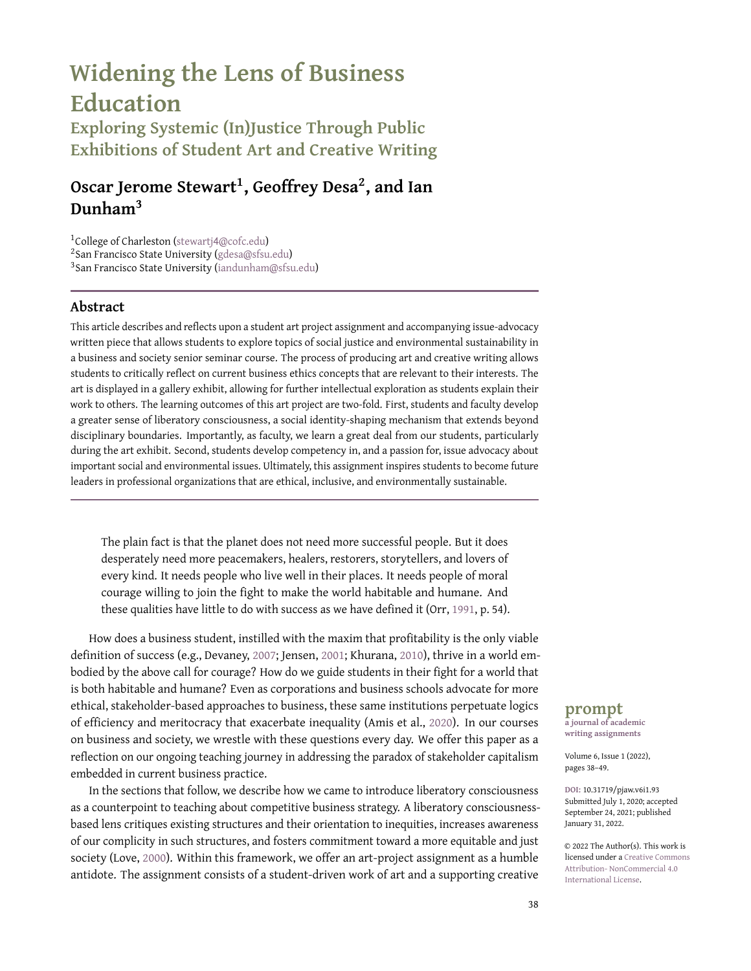

**Figure 2.** First Student Art Example: "Gender-less Future." The student who developed this art piece played a key role in helping our class think beyond the gender binary and in imagining workplaces that didn't erase gender but increased our capacity to celebrate broader gender identity and expression. Such an expansive understanding of gender is inextricably tied to human flourishing and Human Rights. In class, we read about and discussed at length issues of gender discrimination in the workplace. One of our class activities was to imagine, in groups, what workplaces without gender discrimination would even look like. This illustration stemmed from that assignment. It was drawn on simple fine art paper and framed for the class art exhibit. The art included a supporting memoir problematizing the piece's title, reflecting on how we reinforce gender norms, and advocating for some of the ways we can fight against those norms.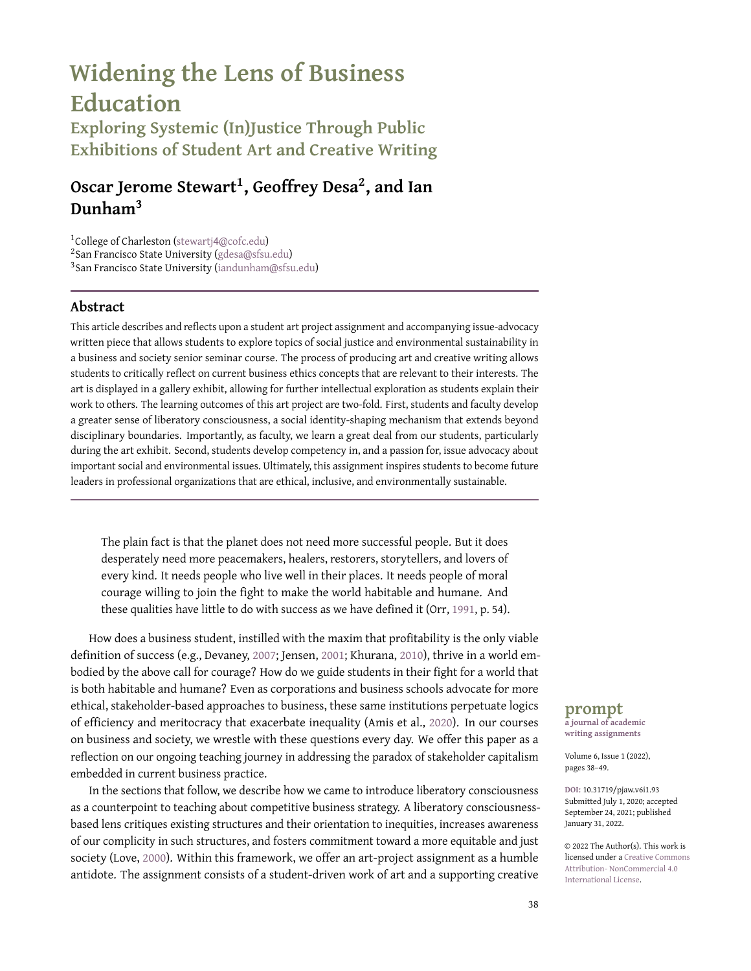

**Figure 3.** Second Student Art Example: "Passport to the Future." In one of our classes, we spent time considering what a cooperative economic future might look like. In this class, we read about cooperative economics in the context of the Black Panthers (Bloom & Martin, 2016). The conversation inspired a Malcolm X-themed work of art to symbolize hope toward a vision for collective liberation. The work included an accompanying fictional speech from Malcolm X on how the leader might respond to today's affordable housing crisis in the United States. This work was created on a 4ft x 4ft piece of 1-inch-thick wood via CNC (Computer Numerical Control) machining. CNC machining uses a computer-controlled carving tool to remove material from a block of wood to create the image.

the teachings of figures such as Malcolm X. Similarly, Figure 4, an art piece titled "Child Labor and Covid 19," led to deep, student-led critiques of utilitarian arguments in favor of child labor and toward an understanding of education as a human right. In both cases, student learning and contemplation about corporations and human rights was far more robust than would have been the case in traditional management classrooms.

Overall, we have found that our students develop and express a voice as they wrestle with their understanding of systemic causes of, barriers to, and solutions for organizational-based injustice. Students develop critical, systematic explanations for organizational (in)justice, which often run contrary to mainstream business school culture. Students articulate ideas on cooperative economics, reparative justice for historically marginalized communities, and inclusive prosperity. While students embody the values articulated within a stakeholder-based framework, they also hold true to their own communities and to their sense of social justice.

# **Future Directions and Concluding Thoughts**

Humans so far have generally deified and aligned with the "king" of the jungle or forest-lions, tigers, bears. And yet so many of these creatures, for all their isolated ferocity and alpha power, are going extinct. While a major cause of that extinction is our human impact, there is something to be said for adaptation, the adaptation of small, collaborative species. Roaches and ants and deer and fungi and bacteria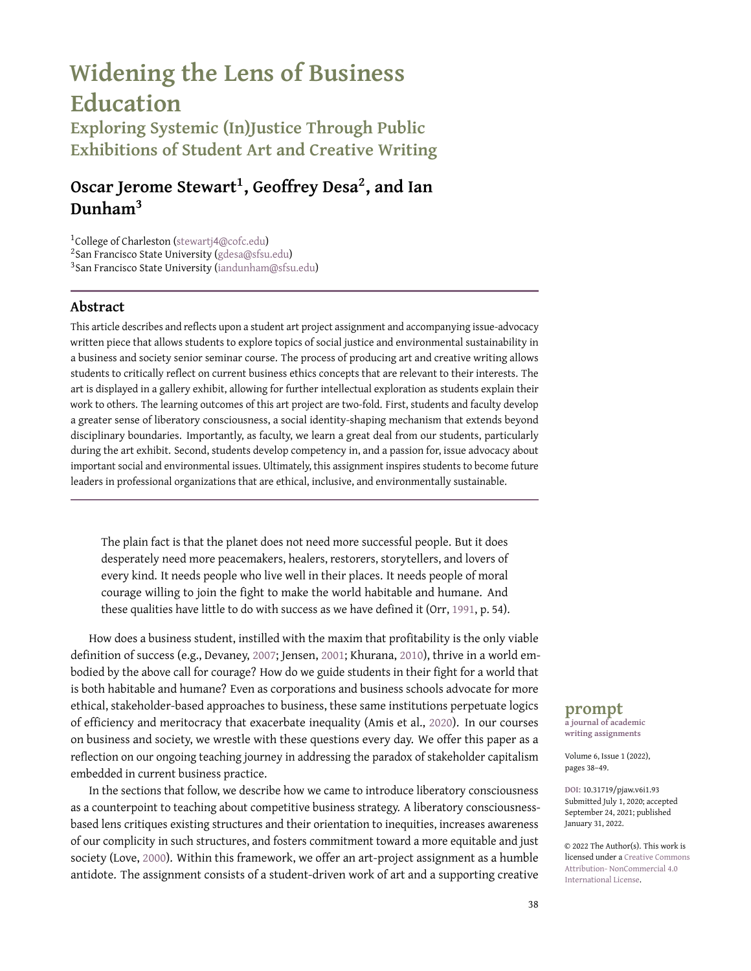

**Figure 4.** Third Student Art Example: "Child Labor and Covid-19." In one of our classes, we talked about ethical dilemmas and the limitations of cost-benefit thinking. After reading an article on out-of-work garment workers in Bangladesh, this student offered a cynical counter to utilitarian calculations of cost and benefit, arguing against trickle-down economics, and for education as a higher moral absolute. Ink on paper. This work was hand-drawn on an 8.5x11 piece of paper. Developed during a business and society class during the pandemic, the work included an accompanying personal reflection on the value of education, and economic struggle during this time. The narrative extended into a broader focus on the struggles of children who are forced to work. Artwork by Saida Safiullina.

and viruses and bamboo and eucalyptus and squirrels and vultures and mice and mosquitos and dandelions and so many other more collaborative life forms continue to proliferate, survive, grow. Sustain. (brown, 2017, p. 4).

As we write this essay, the global pandemic and the Floyd Uprisings of the summer of 2020 have made business schools across the United States take stock of their priorities, values, and culture, and consider just how seriously they value Black lives. As cisgendered, male, Black, brown, and white professors in business schools, we grapple with the limitations of our own training and the positionality offered by our privilege. Our personal and professional identities are no longer separate and distinct but are reflected in the Black, brown, white, low-income, international, mind-expanding intersectional diversities, hardships, and achievements of our students across the spectrum. The art assignment is a small step in this ongoing journey to become "liberation workers," educators who "practice intentionality about changing the systems of oppression" around us (Love, 2000, p. 129).

Moving forward, we can do more to make the assignment more liberating. We can, for example, continue to think about student access to art materials. We have considered a class survey of materials needed so that we can secure them ahead of time. We have experimented with having the art project in-class and providing students with basic art supplies (markers, paint, canvasses, glue, for example). We can also think more about incorporating art from students with disabilities, such as those with visual impairments. Though we aim to create a class culture that already provides accessibility (e.g., syllabi and assignment access for students with visual impairments), there is more to do here.

In our exploratory surveys, only eight percent of student responses indicated that the artwork made them think of productive work. This underscores the dichotomy between a socialjustice perspective and the pervasive business education framework, in which "productive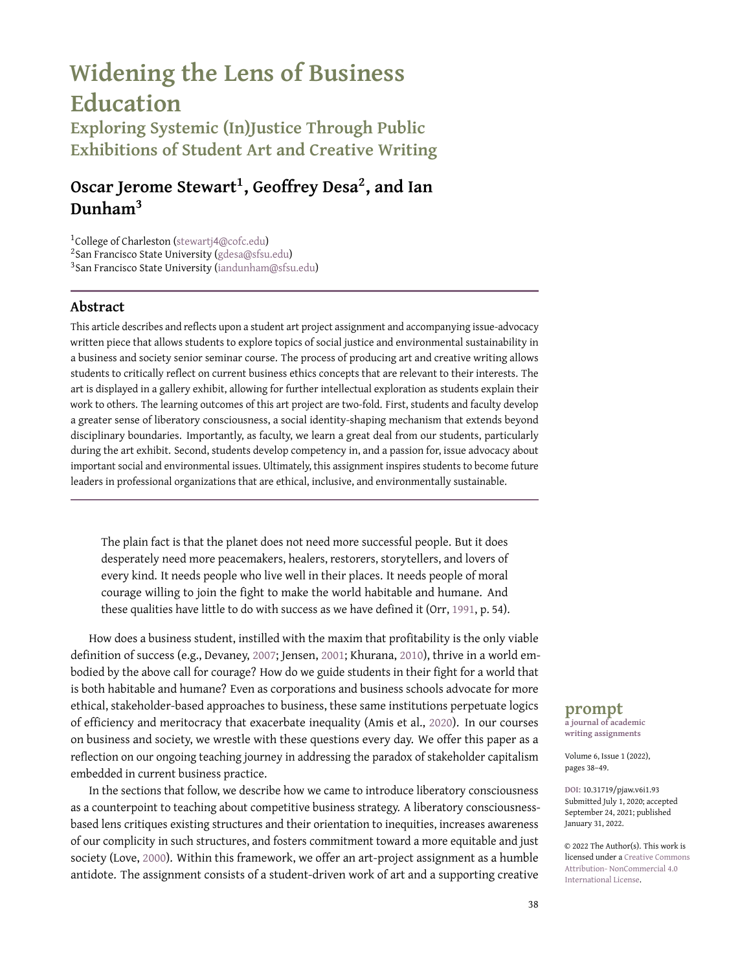work" is socialized as something other than human flourishing, collective liberation, or personal healing. This dichotomy begs a deeper question: what does it take for liberatory work to be seen as productive work? And, more compellingly, what does it take for "productive work" in business schools to also be liberatory? As a small example, we need to think about how our preconceptions of productive work—in terms of rigor and quality—are confounded in students' written issue-advocacy statements. Despite encouraging multiple written formats, we find ourselves conforming to common expectations of written text (e.g., grammar and formatting) that privilege students from higher socioeconomic backgrounds or simply those who are better at writing in the ways we as instructors are trained to evaluate, thereby perpetuating a systemic, structural inequity that is both rigid and outdated. How can we make written formats of the project liberating for students who have been told they aren't good writers since they were young? How do we allow space for written projects via social media in the same way that we do for traditional essays? Possibilities abound for our personal growth as facilitators of this journey toward greater liberatory consciousness.

Challenges continue as the pedagogical methods in a face-to-face classroom are different from an online social justice pedagogy. Online instruction has historically been antithetical to social justice-based pedagogy, as it has exacerbated gaps in success between students across socioeconomic backgrounds. In particular, Black, brown, and low-income students consistently underperform in online courses (Protopsaltis & Baum, 2019). Yet, our reality in education is that virtual learning is inevitable.

Encouragingly, technological advancements and instructor commitment make it possible to embody a liberatory consciousness through assignments such as a virtual Widening Your Lens project. Across our courses, we have implemented a virtual art project in 16 classes with over 500 students since the pandemic forced our university online. We experimented with different online platforms that allow students to present their work to each other virtually. Further, we find that conveying issue-advocacy or activist work virtually through social media platforms is often second nature to our students. Will this take them on different career trajectories or encourage them to act as agents of change? While too early to tell, it is heartening that our students have used the consciousness developed in our classes to change us, their instructors, and to participate in the chorus of voices speaking out against racial and environmental injustice, toward greater, shared humanity.

#### **ASSIGNMENT**

## **Sample Assignment Description: Personal Values Art Project**

Path 3 from Figure 1: Create an artistic rendering that reflects how your education and experiences shape your connection to society.

**Deliverable:** This project consists of:

- 1. An artwork that connects a topic from this semester with your own values and ethics.
- 2. An artist statement: A one-page write-up of the topical issue, a reflection of how your own values connect to this topic. We will hold an art gallery style exhibition online for the first part of the session in Week 15.

**Purpose of Project:** a. To develop and express your core values. b. To learn to professionally express and explain ideas.

**Theme:** Business, Society and the Environment in the time of Covid-19. The coronavirus pandemic has been a complete part of our daily lived lives. From lockdowns and shelter-in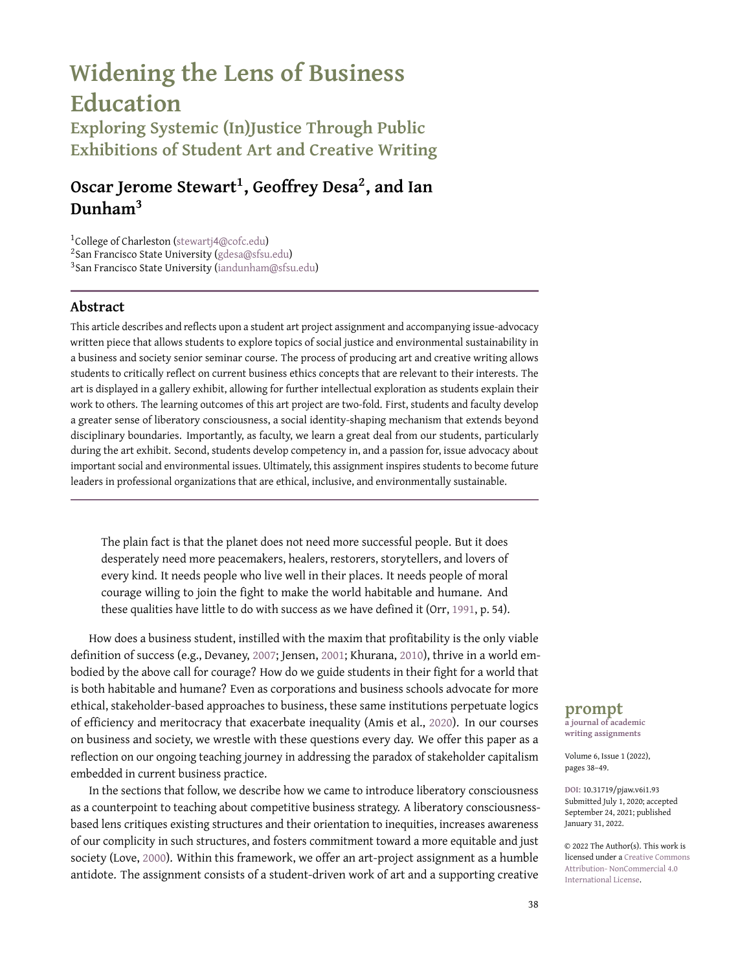place, to job losses, job changes, family concerns, health concerns, travel concerns, and every conceivable re-allocation of priorities, our world suddenly changed. Online interaction has become more important than ever. The weaknesses of government, the cruelties of business, and the inadequacy of just-in-time global supply chains are made clear when the whole world stops.

At the same time, there have been moments of hope and inspiration. Healthcare and emergency workers work heroically under extremely stressful conditions. Proactive government leadership helped flatten the curve in countries around the world and has taken courage. Proactive business leadership that accommodates employee hardship takes a willingness to look beyond the short term. Many small businesses have shown a deep commitment to their local communities. The rallying cries of protest movements: Black Lives Matter have offered us glimpses into the strengths of individuals, community and a hopeful future.

This semester, we looked at the relationships between business, government, society and the natural environment. Topics included: The Corporation and its Stakeholders. Corporate Social Responsibility. Business and the Local Community. Business and Ethics. Business and Globalization. Business and the Natural Environment. Business and Public Policy. Technology, Society and Privacy. From this vast list of topics, think about a specific topic/concern that resonated with you. How might you showcase your personal values in relation to this topic? How might you represent this topic, and create a personally meaningful work of art?

**Part 1 (5%):** Part one is an artistic representation of your professional values statement. This piece of art should be a reflection on our class activities/topics so far and should include a manifestation of your moral philosophy. This assignment can take many forms and be as complex as you'd like to make it. By creating an artistic rendering of your professional values, you give your workplace values more thought and take the exercise seriously. The end result can be whatever you'd like it to be. Students have created: Poems, drawings/paintings (From charcoal, watercolors, crayon, to pencil sketches), collages, digital artwork, sculpture, papermâché sculptures.

Note: Please use materials you have at home, at your disposal. You are in no way required to go to a store or to purchase additional materials. You can create digital artworks, spoken word pieces, poems, collages, or other forms that utilize the tools at hand.

Deliverable 1: A picture / A video of your artwork to be uploaded to our course LMS by 10:00 a.m. on Tuesday December 1.

#### **Grading Rubric for Part 1: Personal Values Art Project**

- 5 pts: Creativity and time well spent.
- 3 pts: solid effort, low in creativity.
- 0-2 pts: half-spirited effort.

This rubric is intentionally centered around 'effort' rather than any perception of 'objective quality.' In the weeks leading up to the art project, there will be instructor consultations, peer discussions and prototype offerings in small groups, that will help indicate the expected level of effort and thought to be put into your art-project.

Part 2 (5%): The second part is a reflection on your artistic piece. The assignment is a succinct one-page personal values statement. You should cite a specific topic in the text *and* at least two other reference sources in your reflection. Please use APA format for the citations. The format of the assignment can vary. Students often submit assignments in these forms: (1) a label or accompanying explanation of your art; 2) "All-employee" memos from a CEO; (3) Newspaper editorials; (4) Public speeches; (5) Values statements for your actual business.

Deliverable 2: Your artist statement will be due on our course LMS by Friday December 4 at 5:00 pm.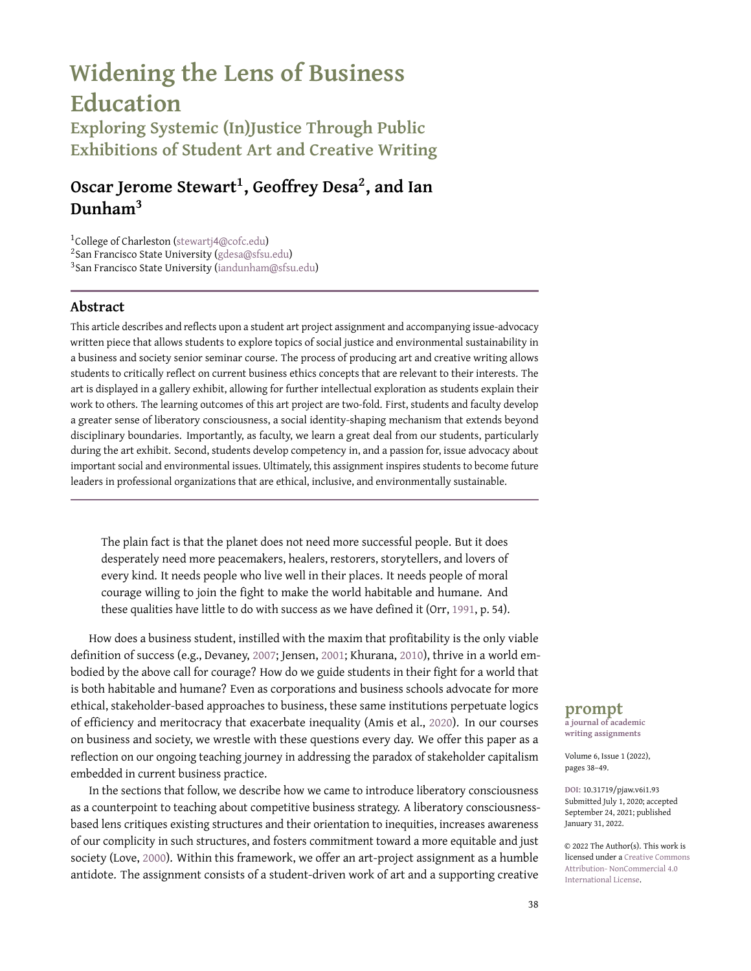#### **Grading Rubric for Part 2: Personal Values Statement**

- 5 pts: Professionally written with no spelling/grammar errors. Clear references with citations. Identifies & convincingly articulates two or more moral frameworks to guide decisions.
- 3 pts: Professionally written, but with spelling/grammar errors. Clear references with citations. Identifies & convincingly articulates a moral framework to guide decisions.
- 0-2 pts: Unclear, haphazard writing. Spelling/grammar errors. Lacks references with citations. Moral framework guiding decisions is unclear.

#### **Notes**

1 Stakeholder capitalism advocates that business leaders engage with the complex, challenging, and interdependent world of customers, employees, suppliers, communities, and shareholders, rather than focus on shareholder primacy. <sup>2</sup>A version of this figure in high-resolution PDF with readable text is available as supplemental material to this article.

### **Supplementary Material**

For supplementary material accompanying this paper, including a PDF facsimile of the assignment description formatted as the author(s) presented it to students, please visit [https:](https://doi.org/10.31719/pjaw.v6i1.93) [//doi.org/](https://doi.org/10.31719/pjaw.v6i1.93)10.31719/pjaw.v6i1.93.

## **References**

- Amis, J. M., Mair, J., & Munir, K. A. (2020). The organizational reproduction of inequality. *Academy of Management Annals*, *14*(1), 195–230.
- Arce, D. G., & Gentile, M. C. (2015). Giving voice to values as a leverage point in business ethics education. *Journal of Business Ethics*, *131*(3), 535–542.
- Ayers, W., Quinn, T. M., & Stovall, D. (Eds.). (2009). *Handbook of social justice in education*. Routledge.
- Benjamin, R., Klein, S., Steedle, J., Zahner, D., Elliot, S., & Patterson, J. (2013). The case for critical-thinking skills and performance assessment. [https://docplayer.net/](https://docplayer.net/11412636-The-case-for-critical-thinking-skills-and-performance-assessment.html)11412636-The-case- for-critical[thinking-skills-and-performance-assessment.html](https://docplayer.net/11412636-The-case-for-critical-thinking-skills-and-performance-assessment.html)
- Bertsou, E., & Caramani, D. (Eds.). (2020). *The technocratic challenge to democracy*. Routledge.
- Bloom, J., & Martin, W. E. (2016). *Black against Empire: The History and Politics of the Black Panther Party*. University of California Press.
- brown, a. m. (2017). *Emergent strategy*. AK Press.
- Bunch, K. J. (2020). State of Undergraduate Business Education: A Perfect Storm or Climate Change? *Academy of Management Learning & Education*, *19*(1), 81–98.
- Business Roundtable. (2019). Business roundtable redefines the purpose of a corporation to promote 'an economy that serves all Americans'.
- Chetty, R., Hendren, N., Kline, P., Saez, E., & Turner, N. (2014). Is the United States still a land of opportunity? recent trends in intergenerational mobility. *American Economic Review*, *104*(5), 141–47.
- Crass, C. (2013). *Towards collective liberation: Anti-racist organizing, feminist praxis, and movement building strategy*. Pm Press.
- Davis, G., Messmer, H., Umbreit, M. S., & Coates, R. B. (1992). *Making amends: Mediation and reparation in criminal justice*. Psychology Press.
- Devaney, M. (2007). MBA education, business ethics and the case for shareholder value. *Journal of Academic Ethics*, *5*(2), 199–205.
- Doughty, H. A. (2006). Blooming idiots: Educational objectives, learning taxonomies and the pedagogy of Benjamin Bloom. *College Quarterly*, *9*(4).
- Ennis, R. H. (2015). Critical thinking: A streamlined conception. *The Palgrave handbook of critical thinking in higher education* (pp. 31–47). Palgrave Macmillan.